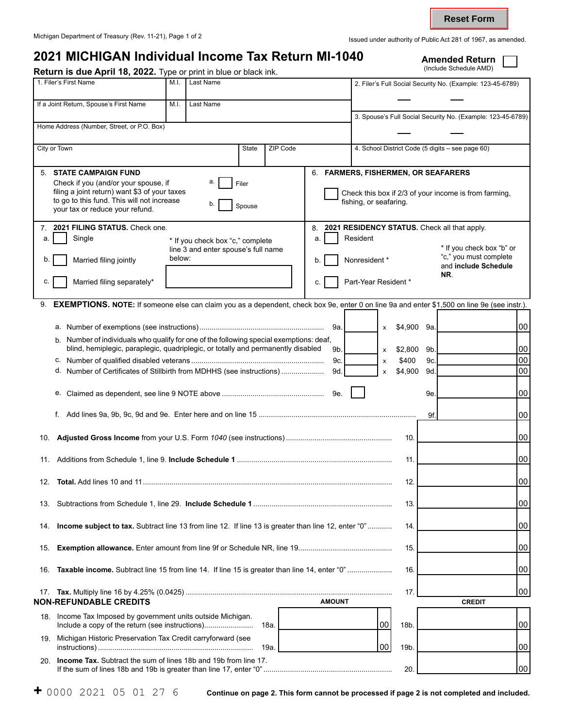## Michigan Department of Treasury (Rev. 11-21), Page 1 of 2 Islamic authority of Public Act 281 of 1967, as amended. **2021 MICHIGAN Individual Income Tax Return MI-1040** Amended Return **Annel Amended Return Amended Return Amended Return** Return is due April 18, 2022. Type or print in blue or black ink. 1. Filer's First Name M.I. | Last Name M.I. | Last Name 2. Filer's Full Social Security No. (Example: 123-45-6789) If a Joint Return, Spouse's First Name M.I. | Last Name 3. Spouse's Full Social Security No. (Example: 123-45-6789) Home Address (Number, Street, or P.O. Box) City or Town State ZIP Code 4. School District Code (5 digits – see page 60) 5. **STATE CAMPAIGN FUND**  Check if you (and/or your spouse, if  $\begin{array}{ccc} a. \end{array}$  Filer filing a joint return) want \$3 of your taxes to go to this fund. This will not increase <br>your tax or reduce your refund. 6. **FARMERS, FISHERMEN, OR SEAFARERS**  Check this box if 2/3 of your income is from farming, fishing, or seafaring. 7. **2021 FILING STATUS.** Check one. a. Single \* If you check box "c," complete line 3 and enter spouse's full name b. Married filing jointly below: c.  $\vert$  Married filing separately\* 8. **2021 RESIDENCY STATUS.** Check all that apply. a. **Resident** \* If you check box "b" or b. Nonresident \* "c," you must complete and **include Schedule NR**. c. **Part-Year Resident** \* 9. **EXEMPTIONS. NOTE:** If someone else can claim you as a dependent, check box 9e, enter 0 on line 9a and enter \$1,500 on line 9e (see instr.). a. Number of exemptions (see instructions)............................................................. 9a. x \$4,900 b. Number of individuals who qualify for one of the following special exemptions: deaf, blind, hemiplegic, paraplegic, quadriplegic, or totally and permanently disabled  $9b.$   $\vert x = $2,800$ c. Number of qualified disabled veterans ................................................................. 9c. x \$400 d. Number of Certificates of Stillbirth from MDHHS (see instructions) ..................... 9d. x \$4,900 e. Claimed as dependent, see line 9 NOTE above .................................................. 9e. f. Add lines 9a, 9b, 9c, 9d and 9e. Enter here and on line 15 ............................................................................. 10. **Adjusted Gross Income** from your U.S. Form *1040* (see instructions) .................................................... 10. 11. Additions from Schedule 1, line 9. **Include Schedule 1** ............................................................................ 11. 12. **Total.** Add lines 10 and 11.......................................................................................................................... 12. 13. Subtractions from Schedule 1, line 29. **Include Schedule 1** .................................................................... 13. 14. **Income subject to tax.** Subtract line 13 from line 12. If line 13 is greater than line 12, enter "0" ............ 14. 15. **Exemption allowance.** Enter amount from line 9f or Schedule NR, line 19.............................................. 15. 16. **Taxable income.** Subtract line 15 from line 14. If line 15 is greater than line 14, enter "0" ...................... 16. \$4,900 9a. 9b. 9c. 9d. 9e. 9f. 00 00 00 00 00 00 00 00 00 00 00 00 00 **Reset Form**

|                               |                                                                         |               | 100<br><b>CREDIT</b> |    |
|-------------------------------|-------------------------------------------------------------------------|---------------|----------------------|----|
| <b>NON-REFUNDABLE CREDITS</b> |                                                                         | <b>AMOUNT</b> |                      |    |
| 18.                           | Income Tax Imposed by government units outside Michigan.                |               | 18b.                 | 00 |
|                               | 19. Michigan Historic Preservation Tax Credit carryforward (see<br>19a. |               | 19 <sub>b</sub>      | 00 |
| 20.                           | <b>Income Tax.</b> Subtract the sum of lines 18b and 19b from line 17.  |               | 20                   | 00 |